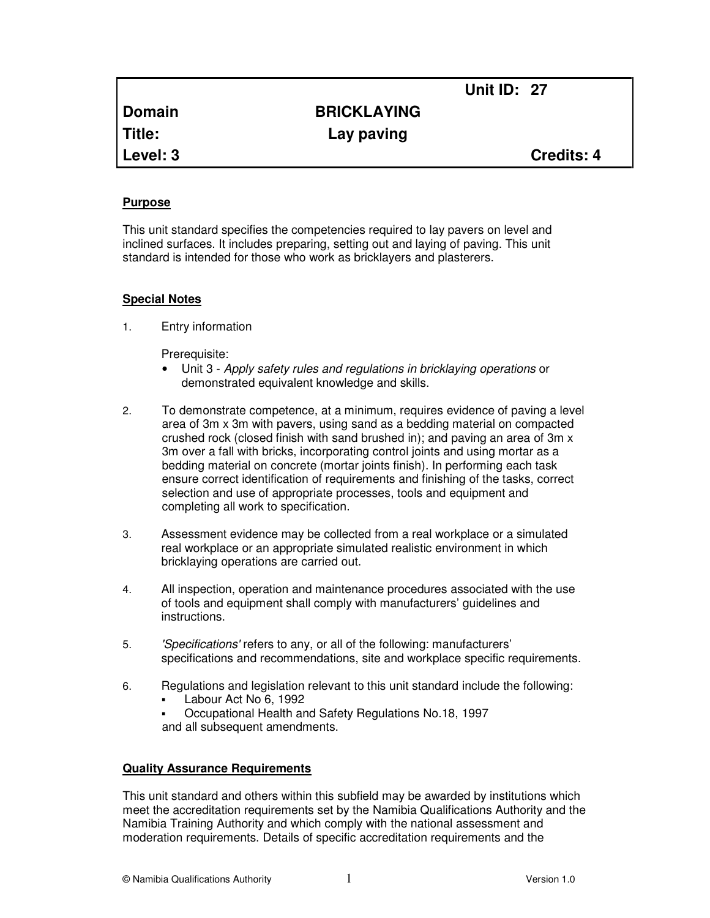|               | <b>Unit ID: 27</b> |                   |
|---------------|--------------------|-------------------|
| <b>Domain</b> | <b>BRICKLAYING</b> |                   |
| <b>Title:</b> | Lay paving         |                   |
| Level: 3      |                    | <b>Credits: 4</b> |

## **Purpose**

This unit standard specifies the competencies required to lay pavers on level and inclined surfaces. It includes preparing, setting out and laying of paving. This unit standard is intended for those who work as bricklayers and plasterers.

## **Special Notes**

1. Entry information

Prerequisite:

- Unit 3 Apply safety rules and regulations in bricklaying operations or demonstrated equivalent knowledge and skills.
- 2. To demonstrate competence, at a minimum, requires evidence of paving a level area of 3m x 3m with pavers, using sand as a bedding material on compacted crushed rock (closed finish with sand brushed in); and paving an area of 3m x 3m over a fall with bricks, incorporating control joints and using mortar as a bedding material on concrete (mortar joints finish). In performing each task ensure correct identification of requirements and finishing of the tasks, correct selection and use of appropriate processes, tools and equipment and completing all work to specification.
- 3. Assessment evidence may be collected from a real workplace or a simulated real workplace or an appropriate simulated realistic environment in which bricklaying operations are carried out.
- 4. All inspection, operation and maintenance procedures associated with the use of tools and equipment shall comply with manufacturers' guidelines and instructions.
- 5. 'Specifications' refers to any, or all of the following: manufacturers' specifications and recommendations, site and workplace specific requirements.
- 6. Regulations and legislation relevant to this unit standard include the following:
	- Labour Act No 6, 1992
	- Occupational Health and Safety Regulations No.18, 1997 and all subsequent amendments.

# **Quality Assurance Requirements**

This unit standard and others within this subfield may be awarded by institutions which meet the accreditation requirements set by the Namibia Qualifications Authority and the Namibia Training Authority and which comply with the national assessment and moderation requirements. Details of specific accreditation requirements and the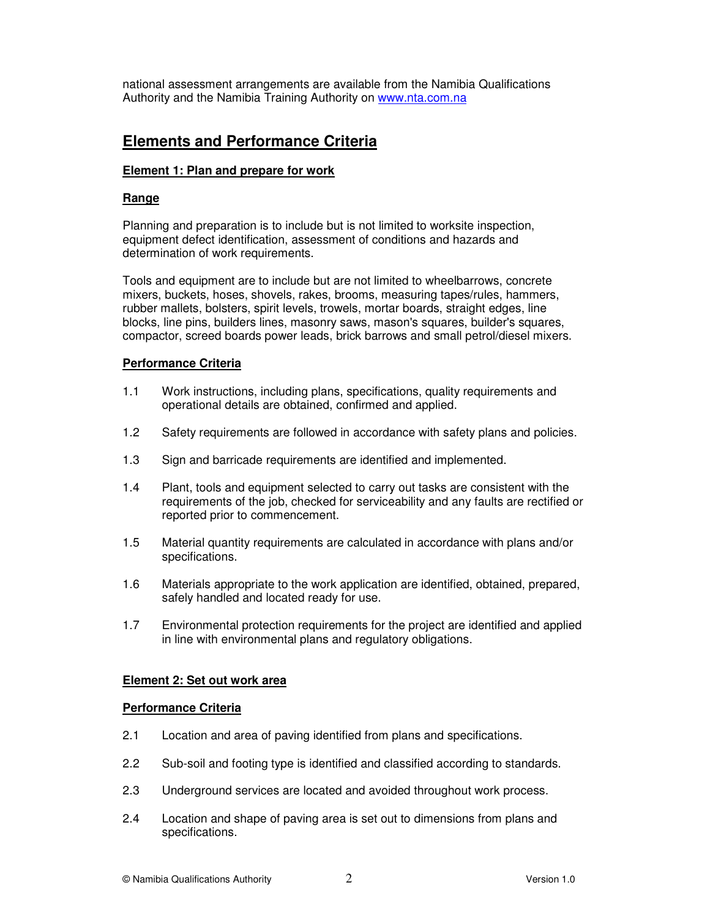national assessment arrangements are available from the Namibia Qualifications Authority and the Namibia Training Authority on www.nta.com.na

# **Elements and Performance Criteria**

# **Element 1: Plan and prepare for work**

# **Range**

Planning and preparation is to include but is not limited to worksite inspection, equipment defect identification, assessment of conditions and hazards and determination of work requirements.

Tools and equipment are to include but are not limited to wheelbarrows, concrete mixers, buckets, hoses, shovels, rakes, brooms, measuring tapes/rules, hammers, rubber mallets, bolsters, spirit levels, trowels, mortar boards, straight edges, line blocks, line pins, builders lines, masonry saws, mason's squares, builder's squares, compactor, screed boards power leads, brick barrows and small petrol/diesel mixers.

# **Performance Criteria**

- 1.1 Work instructions, including plans, specifications, quality requirements and operational details are obtained, confirmed and applied.
- 1.2 Safety requirements are followed in accordance with safety plans and policies.
- 1.3 Sign and barricade requirements are identified and implemented.
- 1.4 Plant, tools and equipment selected to carry out tasks are consistent with the requirements of the job, checked for serviceability and any faults are rectified or reported prior to commencement.
- 1.5 Material quantity requirements are calculated in accordance with plans and/or specifications.
- 1.6 Materials appropriate to the work application are identified, obtained, prepared, safely handled and located ready for use.
- 1.7 Environmental protection requirements for the project are identified and applied in line with environmental plans and regulatory obligations.

# **Element 2: Set out work area**

# **Performance Criteria**

- 2.1 Location and area of paving identified from plans and specifications.
- 2.2 Sub-soil and footing type is identified and classified according to standards.
- 2.3 Underground services are located and avoided throughout work process.
- 2.4 Location and shape of paving area is set out to dimensions from plans and specifications.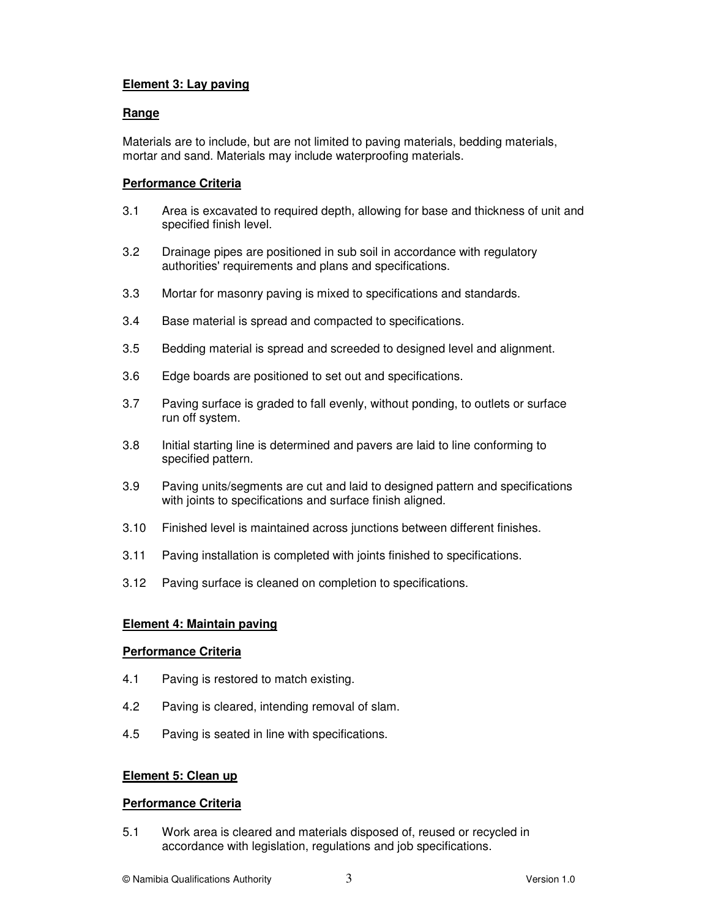# **Element 3: Lay paving**

# **Range**

Materials are to include, but are not limited to paving materials, bedding materials, mortar and sand. Materials may include waterproofing materials.

# **Performance Criteria**

- 3.1 Area is excavated to required depth, allowing for base and thickness of unit and specified finish level.
- 3.2 Drainage pipes are positioned in sub soil in accordance with regulatory authorities' requirements and plans and specifications.
- 3.3 Mortar for masonry paving is mixed to specifications and standards.
- 3.4 Base material is spread and compacted to specifications.
- 3.5 Bedding material is spread and screeded to designed level and alignment.
- 3.6 Edge boards are positioned to set out and specifications.
- 3.7 Paving surface is graded to fall evenly, without ponding, to outlets or surface run off system.
- 3.8 Initial starting line is determined and pavers are laid to line conforming to specified pattern.
- 3.9 Paving units/segments are cut and laid to designed pattern and specifications with joints to specifications and surface finish aligned.
- 3.10 Finished level is maintained across junctions between different finishes.
- 3.11 Paving installation is completed with joints finished to specifications.
- 3.12 Paving surface is cleaned on completion to specifications.

# **Element 4: Maintain paving**

### **Performance Criteria**

- 4.1 Paving is restored to match existing.
- 4.2 Paving is cleared, intending removal of slam.
- 4.5 Paving is seated in line with specifications.

### **Element 5: Clean up**

### **Performance Criteria**

5.1 Work area is cleared and materials disposed of, reused or recycled in accordance with legislation, regulations and job specifications.